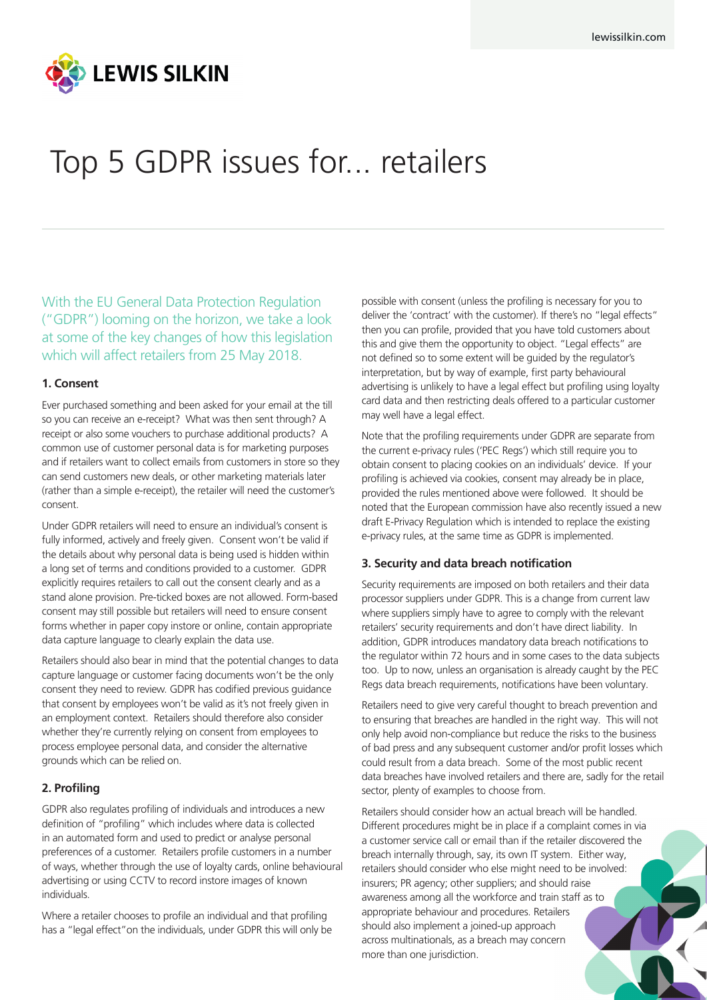

# Top 5 GDPR issues for... retailers

With the EU General Data Protection Regulation ("GDPR") looming on the horizon, we take a look at some of the key changes of how this legislation which will affect retailers from 25 May 2018.

## **1. Consent**

Ever purchased something and been asked for your email at the till so you can receive an e-receipt? What was then sent through? A receipt or also some vouchers to purchase additional products? A common use of customer personal data is for marketing purposes and if retailers want to collect emails from customers in store so they can send customers new deals, or other marketing materials later (rather than a simple e-receipt), the retailer will need the customer's consent.

Under GDPR retailers will need to ensure an individual's consent is fully informed, actively and freely given. Consent won't be valid if the details about why personal data is being used is hidden within a long set of terms and conditions provided to a customer. GDPR explicitly requires retailers to call out the consent clearly and as a stand alone provision. Pre-ticked boxes are not allowed. Form-based consent may still possible but retailers will need to ensure consent forms whether in paper copy instore or online, contain appropriate data capture language to clearly explain the data use.

Retailers should also bear in mind that the potential changes to data capture language or customer facing documents won't be the only consent they need to review. GDPR has codified previous guidance that consent by employees won't be valid as it's not freely given in an employment context. Retailers should therefore also consider whether they're currently relying on consent from employees to process employee personal data, and consider the alternative grounds which can be relied on.

## **2. Profiling**

GDPR also regulates profiling of individuals and introduces a new definition of "profiling" which includes where data is collected in an automated form and used to predict or analyse personal preferences of a customer. Retailers profile customers in a number of ways, whether through the use of loyalty cards, online behavioural advertising or using CCTV to record instore images of known individuals.

Where a retailer chooses to profile an individual and that profiling has a "legal effect"on the individuals, under GDPR this will only be

possible with consent (unless the profiling is necessary for you to deliver the 'contract' with the customer). If there's no "legal effects" then you can profile, provided that you have told customers about this and give them the opportunity to object. "Legal effects" are not defined so to some extent will be guided by the regulator's interpretation, but by way of example, first party behavioural advertising is unlikely to have a legal effect but profiling using loyalty card data and then restricting deals offered to a particular customer may well have a legal effect.

Note that the profiling requirements under GDPR are separate from the current e-privacy rules ('PEC Regs') which still require you to obtain consent to placing cookies on an individuals' device. If your profiling is achieved via cookies, consent may already be in place, provided the rules mentioned above were followed. It should be noted that the European commission have also recently issued a new draft E-Privacy Regulation which is intended to replace the existing e-privacy rules, at the same time as GDPR is implemented.

#### **3. Security and data breach notification**

Security requirements are imposed on both retailers and their data processor suppliers under GDPR. This is a change from current law where suppliers simply have to agree to comply with the relevant retailers' security requirements and don't have direct liability. In addition, GDPR introduces mandatory data breach notifications to the regulator within 72 hours and in some cases to the data subjects too. Up to now, unless an organisation is already caught by the PEC Regs data breach requirements, notifications have been voluntary.

Retailers need to give very careful thought to breach prevention and to ensuring that breaches are handled in the right way. This will not only help avoid non-compliance but reduce the risks to the business of bad press and any subsequent customer and/or profit losses which could result from a data breach. Some of the most public recent data breaches have involved retailers and there are, sadly for the retail sector, plenty of examples to choose from.

Retailers should consider how an actual breach will be handled. Different procedures might be in place if a complaint comes in via a customer service call or email than if the retailer discovered the breach internally through, say, its own IT system. Either way, retailers should consider who else might need to be involved: insurers; PR agency; other suppliers; and should raise awareness among all the workforce and train staff as to appropriate behaviour and procedures. Retailers should also implement a joined-up approach across multinationals, as a breach may concern more than one jurisdiction.